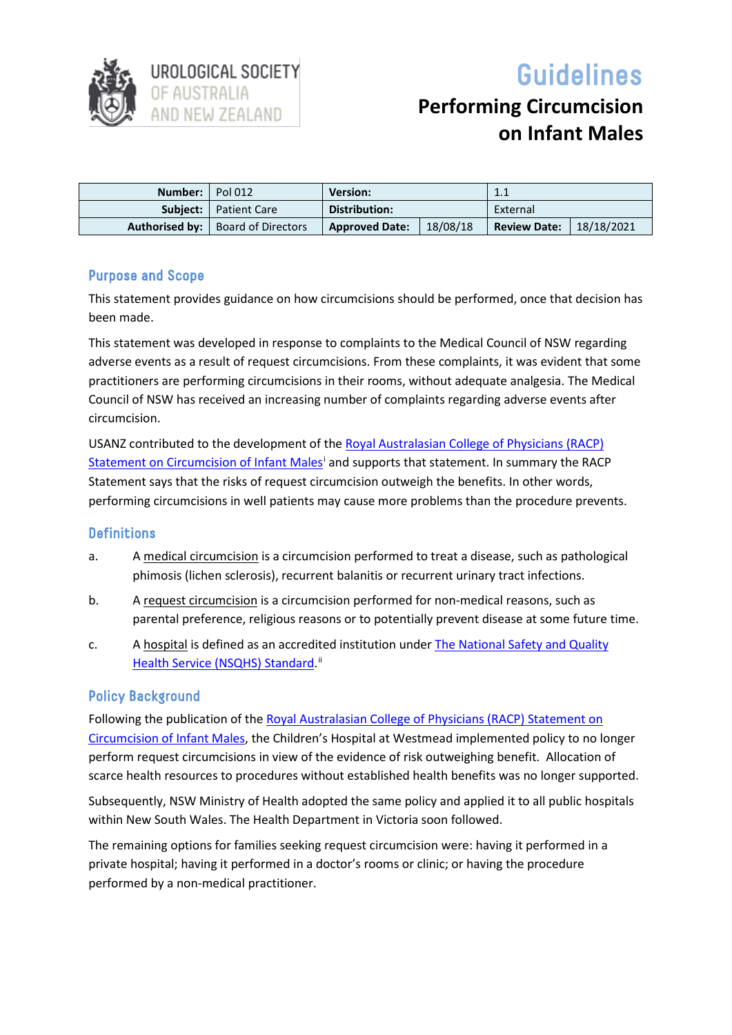

# Guidelines

# **Performing Circumcision on Infant Males**

| Number: Pol 012 |                                            | <b>Version:</b>       |          | 1.1                 |            |
|-----------------|--------------------------------------------|-----------------------|----------|---------------------|------------|
|                 | <b>Subject:</b>   Patient Care             | Distribution:         |          | External            |            |
|                 | <b>Authorised by:</b>   Board of Directors | <b>Approved Date:</b> | 18/08/18 | <b>Review Date:</b> | 18/18/2021 |

# Purpose and Scope

This statement provides guidance on how circumcisions should be performed, once that decision has been made.

This statement was developed in response to complaints to the Medical Council of NSW regarding adverse events as a result of request circumcisions. From these complaints, it was evident that some practitioners are performing circumcisions in their rooms, without adequate analgesia. The Medical Council of NSW has received an increasing number of complaints regarding adverse events after circumcision.

USANZ contributed to the development of the [Royal Australasian College of Physicians](mailto:https://www.racp.edu.au/docs/default-source/advocacy-library/circumcision-of-infant-males.pdf) (RACP) Statement on Circumcision of Infant Males<sup>i</sup> and supports that statement. In summary the RACP Statement says that the risks of request circumcision outweigh the benefits. In other words, performing circumcisions in well patients may cause more problems than the procedure prevents.

#### **Definitions**

- a. A medical circumcision is a circumcision performed to treat a disease, such as pathological phimosis (lichen sclerosis), recurrent balanitis or recurrent urinary tract infections.
- b. A request circumcision is a circumcision performed for non-medical reasons, such as parental preference, religious reasons or to potentially prevent disease at some future time.
- c. A hospital is defined as an accredited institution under [The National Safety and Quality](mailto:1)%09https://www.safetyandquality.gov.au/wp-content/uploads/2017/12/National-Safety-and-Quality-Health-Service-Standards-Guide-for-Hospitals.pdf)  [Health Service \(NSQHS\) Standard.](mailto:1)%09https://www.safetyandquality.gov.au/wp-content/uploads/2017/12/National-Safety-and-Quality-Health-Service-Standards-Guide-for-Hospitals.pdf)<sup>[ii](#page-2-1)</sup>

# Policy Background

Following the publication of th[e Royal Australasian College of Physicians](mailto:https://www.racp.edu.au/docs/default-source/advocacy-library/circumcision-of-infant-males.pdf) (RACP) Statement on [Circumcision of Infant Males,](mailto:https://www.racp.edu.au/docs/default-source/advocacy-library/circumcision-of-infant-males.pdf) the Children's Hospital at Westmead implemented policy to no longer perform request circumcisions in view of the evidence of risk outweighing benefit. Allocation of scarce health resources to procedures without established health benefits was no longer supported.

Subsequently, NSW Ministry of Health adopted the same policy and applied it to all public hospitals within New South Wales. The Health Department in Victoria soon followed.

The remaining options for families seeking request circumcision were: having it performed in a private hospital; having it performed in a doctor's rooms or clinic; or having the procedure performed by a non-medical practitioner.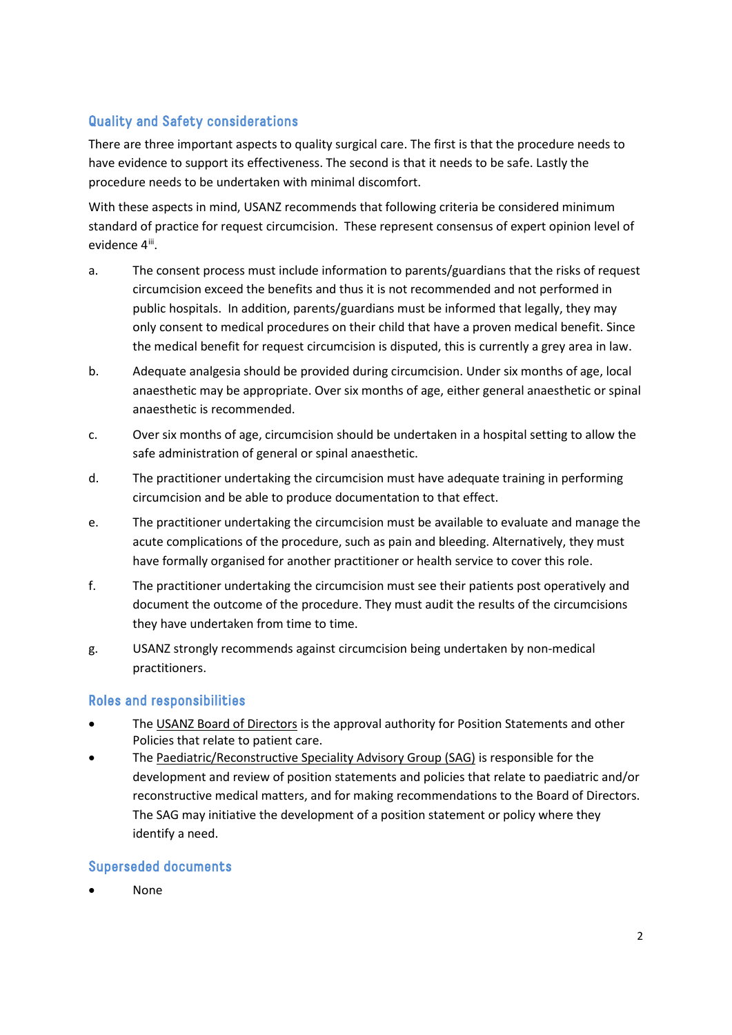# Quality and Safety considerations

There are three important aspects to quality surgical care. The first is that the procedure needs to have evidence to support its effectiveness. The second is that it needs to be safe. Lastly the procedure needs to be undertaken with minimal discomfort.

With these aspects in mind, USANZ recommends that following criteria be considered minimum standard of practice for request circumcision. These represent consensus of expert opinion level of evidence 4<sup>[iii](#page-2-2)</sup>.

- a. The consent process must include information to parents/guardians that the risks of request circumcision exceed the benefits and thus it is not recommended and not performed in public hospitals. In addition, parents/guardians must be informed that legally, they may only consent to medical procedures on their child that have a proven medical benefit. Since the medical benefit for request circumcision is disputed, this is currently a grey area in law.
- b. Adequate analgesia should be provided during circumcision. Under six months of age, local anaesthetic may be appropriate. Over six months of age, either general anaesthetic or spinal anaesthetic is recommended.
- c. Over six months of age, circumcision should be undertaken in a hospital setting to allow the safe administration of general or spinal anaesthetic.
- d. The practitioner undertaking the circumcision must have adequate training in performing circumcision and be able to produce documentation to that effect.
- e. The practitioner undertaking the circumcision must be available to evaluate and manage the acute complications of the procedure, such as pain and bleeding. Alternatively, they must have formally organised for another practitioner or health service to cover this role.
- f. The practitioner undertaking the circumcision must see their patients post operatively and document the outcome of the procedure. They must audit the results of the circumcisions they have undertaken from time to time.
- g. USANZ strongly recommends against circumcision being undertaken by non-medical practitioners.

# Roles and responsibilities

- The USANZ Board of Directors is the approval authority for Position Statements and other Policies that relate to patient care.
- The Paediatric/Reconstructive Speciality Advisory Group (SAG) is responsible for the development and review of position statements and policies that relate to paediatric and/or reconstructive medical matters, and for making recommendations to the Board of Directors. The SAG may initiative the development of a position statement or policy where they identify a need.

#### Superseded documents

• None